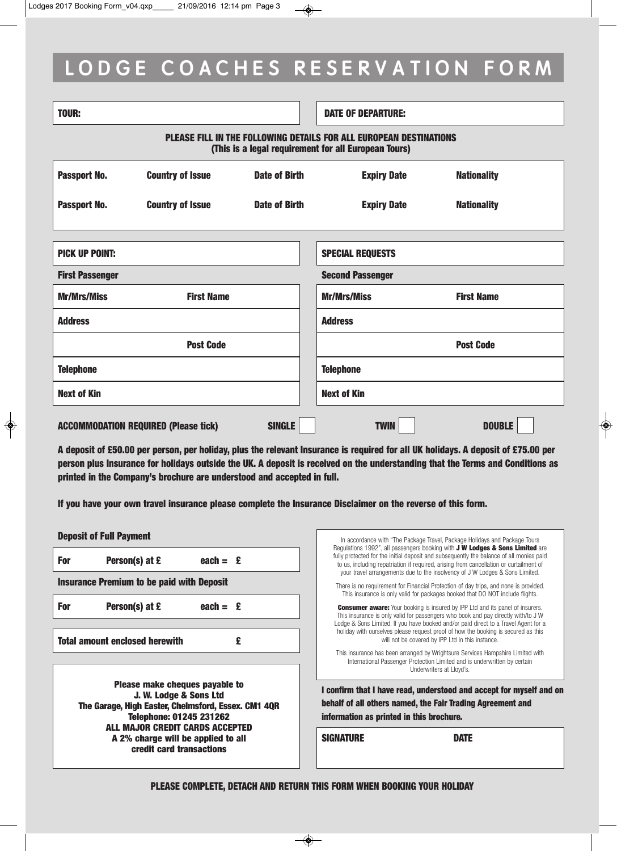# LODGE COACHES RESERVATION FORM

| <b>TOUR:</b>                                                                                                                      |                         |                      | <b>DATE OF DEPARTURE:</b> |                    |  |
|-----------------------------------------------------------------------------------------------------------------------------------|-------------------------|----------------------|---------------------------|--------------------|--|
| <b>PLEASE FILL IN THE FOLLOWING DETAILS FOR ALL EUROPEAN DESTINATIONS</b><br>(This is a legal requirement for all European Tours) |                         |                      |                           |                    |  |
| Passport No.                                                                                                                      | <b>Country of Issue</b> | <b>Date of Birth</b> | <b>Expiry Date</b>        | <b>Nationality</b> |  |
| Passport No.                                                                                                                      | <b>Country of Issue</b> | <b>Date of Birth</b> | <b>Expiry Date</b>        | <b>Nationality</b> |  |
|                                                                                                                                   |                         |                      |                           |                    |  |
| <b>PICK UP POINT:</b>                                                                                                             |                         |                      | <b>SPECIAL REQUESTS</b>   |                    |  |
| <b>First Passenger</b>                                                                                                            |                         |                      | <b>Second Passenger</b>   |                    |  |
| <b>Mr/Mrs/Miss</b>                                                                                                                | <b>First Name</b>       |                      | <b>Mr/Mrs/Miss</b>        | <b>First Name</b>  |  |
| <b>Address</b>                                                                                                                    |                         |                      | <b>Address</b>            |                    |  |
|                                                                                                                                   | <b>Post Code</b>        |                      |                           | <b>Post Code</b>   |  |
| <b>Telephone</b>                                                                                                                  |                         |                      | <b>Telephone</b>          |                    |  |
| <b>Next of Kin</b>                                                                                                                |                         |                      | <b>Next of Kin</b>        |                    |  |
| <b>ACCOMMODATION REQUIRED (Please tick)</b>                                                                                       |                         | <b>TWIN</b>          | <b>DOUBLE</b>             |                    |  |

A deposit of £50.00 per person, per holiday, plus the relevant Insurance is required for all UK holidays. A deposit of £75.00 per person plus Insurance for holidays outside the UK. A deposit is received on the understanding that the Terms and Conditions as printed in the Company's brochure are understood and accepted in full.

If you have your own travel insurance please complete the Insurance Disclaimer on the reverse of this form.

| <b>Deposit of Full Payment</b>                                                                                                              | In accordance with "The Package Travel, Package Holidays and Package Tours<br>Regulations 1992", all passengers booking with <b>J W Lodges &amp; Sons Limited</b> are<br>fully protected for the initial deposit and subsequently the balance of all monies paid<br>to us, including repatriation if required, arising from cancellation or curtailment of<br>your travel arrangements due to the insolvency of J W Lodges & Sons Limited.<br>There is no requirement for Financial Protection of day trips, and none is provided.<br>This insurance is only valid for packages booked that DO NOT include flights. |  |
|---------------------------------------------------------------------------------------------------------------------------------------------|---------------------------------------------------------------------------------------------------------------------------------------------------------------------------------------------------------------------------------------------------------------------------------------------------------------------------------------------------------------------------------------------------------------------------------------------------------------------------------------------------------------------------------------------------------------------------------------------------------------------|--|
| Person(s) at £<br>each = $\epsilon$<br>For                                                                                                  |                                                                                                                                                                                                                                                                                                                                                                                                                                                                                                                                                                                                                     |  |
| <b>Insurance Premium to be paid with Deposit</b>                                                                                            |                                                                                                                                                                                                                                                                                                                                                                                                                                                                                                                                                                                                                     |  |
| Person(s) at £<br>For<br>each = $E$                                                                                                         | <b>Consumer aware:</b> Your booking is insured by IPP Ltd and its panel of insurers.<br>This insurance is only valid for passengers who book and pay directly with/to J W<br>Lodge & Sons Limited. If you have booked and/or paid direct to a Travel Agent for a<br>holiday with ourselves please request proof of how the booking is secured as this<br>will not be covered by IPP Ltd in this instance.<br>This insurance has been arranged by Wrightsure Services Hampshire Limited with                                                                                                                         |  |
| <b>Total amount enclosed herewith</b><br>£                                                                                                  |                                                                                                                                                                                                                                                                                                                                                                                                                                                                                                                                                                                                                     |  |
| Please make cheques payable to                                                                                                              | International Passenger Protection Limited and is underwritten by certain<br>Underwriters at Llovd's.<br>I confirm that I have read, understood and accept for myself and on<br>behalf of all others named, the Fair Trading Agreement and<br>information as printed in this brochure.                                                                                                                                                                                                                                                                                                                              |  |
| J. W. Lodge & Sons Ltd<br>The Garage, High Easter, Chelmsford, Essex. CM1 4QR<br>Telephone: 01245 231262<br>ALL MAJOR CREDIT CARDS ACCEPTED |                                                                                                                                                                                                                                                                                                                                                                                                                                                                                                                                                                                                                     |  |
| A 2% charge will be applied to all<br>credit card transactions                                                                              | <b>SIGNATURE</b><br><b>DATE</b>                                                                                                                                                                                                                                                                                                                                                                                                                                                                                                                                                                                     |  |
|                                                                                                                                             |                                                                                                                                                                                                                                                                                                                                                                                                                                                                                                                                                                                                                     |  |

PLEASE COMPLETE, DETACH AND RETURN THIS FORM WHEN BOOKING YOUR HOLIDAY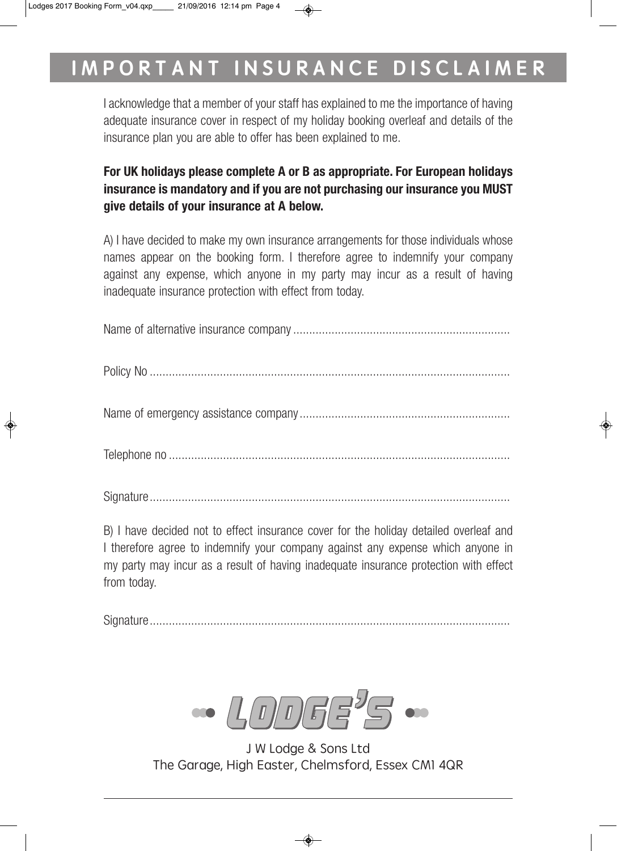# IMPORTANT INSURANCE DISCLAIMER

I acknowledge that a member of your staff has explained to me the importance of having adequate insurance cover in respect of my holiday booking overleaf and details of the insurance plan you are able to offer has been explained to me.

## **For UK holidays please complete A or B as appropriate. For European holidays insurance is mandatory and if you are not purchasing our insurance you MUST give details of your insurance at A below.**

A) I have decided to make my own insurance arrangements for those individuals whose names appear on the booking form. I therefore agree to indemnify your company against any expense, which anyone in my party may incur as a result of having inadequate insurance protection with effect from today.

Name of alternative insurance company....................................................................

Policy No .................................................................................................................

Name of emergency assistance company..................................................................

Telephone no ...........................................................................................................

Signature.................................................................................................................

B) I have decided not to effect insurance cover for the holiday detailed overleaf and I therefore agree to indemnify your company against any expense which anyone in my party may incur as a result of having inadequate insurance protection with effect from today.

Signature.................................................................................................................

 $\sqrt{I/I}$ 

J W Lodge & Sons Ltd The Garage, High Easter, Chelmsford, Essex CM1 4QR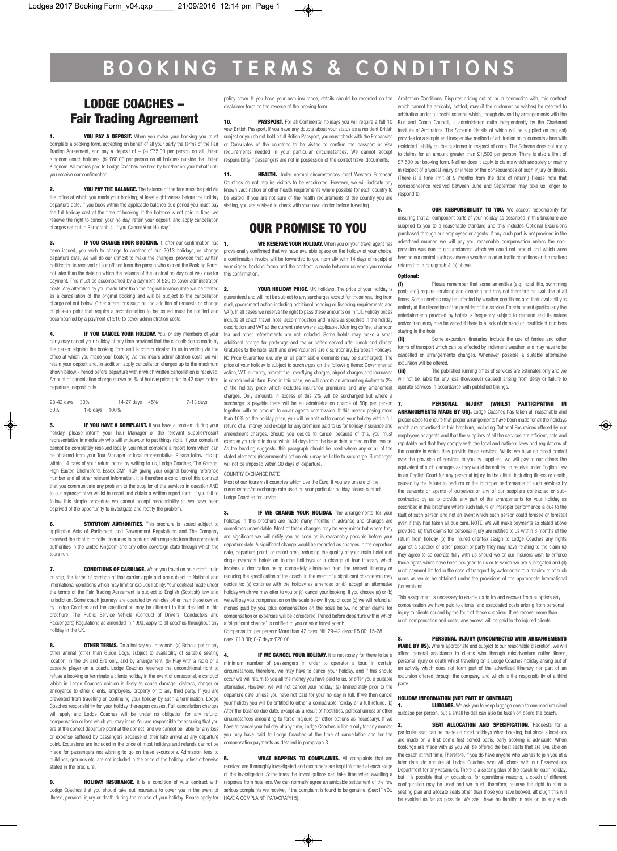## **B O O K I N G T E R M S & C O N D I T I O N S**

### LODGE COACHES – Fair Trading Agreement

1. YOU PAY A DEPOSIT. When you make your booking you must complete a booking form, accepting on behalf of all your party the terms of the Fair Trading Agreement, and pay a deposit of  $-$  (a) £75.00 per person on all United Kingdom coach holidays; (b) £60.00 per person on all holidays outside the United Kingdom. All monies paid to Lodge Coaches are held by him/her on your behalf until you receive our confirmation.

**2. YOU PAY THE BALANCE.** The balance of the fare must be paid via the office at which you made your booking, at least eight weeks before the holiday departure date. If you book within the applicable balance due period you must pay the full holiday cost at the time of booking. If the balance is not paid in time, we reserve the right to cancel your holiday, retain your deposit, and apply cancellation charges set out in Paragraph 4 'If you Cancel Your Holiday.'

3. **IF YOU CHANGE YOUR BOOKING.** If, after our confirmation has **1**. been issued, you wish to change to another of our 2013 holidays, or change departure date, we will do our utmost to make the changes, provided that written notification is received at our offices from the person who signed the Booking Form, not later than the date on which the balance of the original holiday cost was due for payment. This must be accompanied by a payment of £20 to cover administration costs. Any alteration by you made later than the original balance date will be treated as a cancellation of the original booking and will be subject to the cancellation charge set out below. Other alterations such as the addition of requests or change of pick-up point that require a reconfirmation to be issued must be notified and accompanied by a payment of £10 to cover administration costs.

**4. IF YOU CANCEL YOUR HOLIDAY.** You, or any members of your party may cancel your holiday at any time provided that the cancellation is made by the person signing the booking form and is communicated to us in writing via the office at which you made your booking. As this incurs administration costs we will retain your deposit and, in addition, apply cancellation charges up to the maximum shown below:- Period before departure within which written cancellation is received. Amount of cancellation charge shown as % of holiday price prior to 42 days before departure, deposit only.

 $28-42$  days =  $30\%$  14-27 days =  $45\%$  7-13 days =  $60\%$  7-13 days =  $1.6$  days =  $100\%$ 1-6 days  $= 100%$ 

**IF YOU HAVE A COMPLAINT.** If you have a problem during your holiday, please inform your Tour Manager or the relevant supplier/resort representative immediately who will endeavour to put things right. If your complaint cannot be completely resolved locally, you must complete a report form which can be obtained from your Tour Manager or local representative. Please follow this up within 14 days of your return home by writing to us, Lodge Coaches, The Garage, High Easter, Chelmsford, Essex CM1 4QR giving your original booking reference number and all other relevant information. It is therefore a condition of this contract that you communicate any problem to the supplier of the services in question AND to our representative whilst in resort and obtain a written report form. If you fail to follow this simple procedure we cannot accept responsibility as we have been deprived of the opportunity to investigate and rectify the problem.

**STATUTORY AUTHORITIES.** This brochure is issued subject to applicable Acts of Parliament and Government Regulations and The Company reserved the right to modify itineraries to conform with requests from the competent authorities in the United Kingdom and any other sovereign state through which the tours run.

**7. CONDITIONS OF CARRIAGE.** When you travel on an aircraft, train or ship, the terms of carriage of that carrier apply and are subject to National and International conditions which may limit or exclude liability. Your contract made under the terms of the Fair Trading Agreement is subject to English (Scottish) law and jurisdiction. Some coach journeys are operated by vehicles other than those owned by Lodge Coaches and the specification may be different to that detailed in this brochure. The Public Service Vehicle (Conduct of Drivers, Conductors and Passengers) Regulations as amended in 1990, apply to all coaches throughout any holiday in the UK.

8. **OTHER TERMS.** On a holiday you may not:- (a) Bring a pet or any other animal (other than Guide Dogs, subject to availability of suitable seating location, in the UK and Eire only, and by arrangement, (b) Play with a radio or a cassette player on a coach. Lodge Coaches reserves the unconditional right to refuse a booking or terminate a clients holiday in the event of unreasonable conduct which in Lodge Coaches opinion is likely to cause damage, distress, danger or annoyance to other clients, employees, property or to any third party. If you are prevented from travelling or continuing your holiday by such a termination, Lodge Coaches responsibility for your holiday thereupon ceases. Full cancellation charges will apply and Lodge Coaches will be under no obligation for any refund, compensation or loss which you may incur. You are responsible for ensuring that you are at the correct departure point at the correct, and we cannot be liable for any loss or expense suffered by passengers because of their late arrival at any departure point. Excursions are included in the price of most holidays and refunds cannot be made for passengers not wishing to go on these excursions. Admission fees to buildings, grounds etc. are not included in the price of the holiday unless otherwise stated in the brochure.

9. **HOLIDAY INSURANCE.** It is a condition of your contract with Lodge Coaches that you should take out insurance to cover you in the event of illness, personal injury or death during the course of your holiday. Please apply for HAVE A COMPLAINT: PARAGRAPH 5).

disclaimer form on the reverse of the booking form.

**10. PASSPORT.** For all Continental holidays you will require a full 10 year British Passport. If you have any doubts about your status as a resident British subject or you do not hold a full British Passport, you must check with the Embassies or Consulates of the countries to be visited to confirm the passport or visa requirements needed in your particular circumstances. We cannot accept responsibility if passengers are not in possession of the correct travel documents.

11. **HEALTH.** Under normal circumstances most Western European Countries do not require visitors to be vaccinated. However, we will indicate any known vaccination or other health requirements where possible for each country to be visited. If you are not sure of the health requirements of the country you are visiting, you are advised to check with your own doctor before travelling.

### OUR PROMISE TO YOU

WE RESERVE YOUR HOLIDAY. When you or your travel agent has provisionally confirmed that we have available space on the holiday of your choice, a confirmation invoice will be forwarded to you normally with 14 days of receipt of your signed booking forma and the contract is made between us when you receive this confirmation.

**2. YOUR HOLIDAY PRICE.** UK Holidays. The price of your holiday is guaranteed and will not be subject to any surcharges except for those resulting from (fuel, government action including additional bonding or licensing requirements and VAT). In all cases we reserve the right to pass these amounts on in full. Holiday prices include all coach travel, hotel accommodation and meals as specified in the holiday description and VAT at the current rate where applicable. Morning coffee, afternoon tea and other refreshments are not included. Some hotels may make a small additional charge for porterage and tea or coffee served after lunch and dinner. Gratuities to the hotel staff and driver/couriers are discretionary. European Holidays. No Price Guarantee (i.e. any or all permissible elements may be surcharged). The price of your holiday is subject to surcharges on the following items: Governmental action, VAT, currency, aircraft fuel, overflying charges, airport charges and increases in scheduled air fare. Even in this case, we will absorb an amount equivalent to 2% of the holiday price which excludes insurance premiums and any amendment charges. Only amounts in excess of this 2% will be surcharged but where a surcharge is payable there will be an administration charge of 50p per person together with an amount to cover agents commission. If this means paying more than 10% on the holiday price, you will be entitled to cancel your holiday with a full refund of all money paid except for any premium paid to us for holiday insurance and amendment charges. Should you decide to cancel because of this, you must exercise your right to do so within 14 days from the issue date printed on the invoice. As the heading suggests, this paragraph should be used where any or all of the stated elements (Governmental action etc.) may be liable to surcharge. Surcharges will not be imposed within 30 days of departure.

COUNTRY EXCHANGE RATE

Most of our tours visit countries which use the Euro. If you are unsure of the currency and/or exchange rate used on your particular holiday please contact Lodge Coaches for advice.

3. **IF WE CHANGE YOUR HOLIDAY.** The arrangements for your holidays in this brochure are made many months in advance and changes are sometimes unavoidable. Most of these changes may be very minor but where they are significant we will notify you as soon as is reasonably possible before your departure date. A significant change would be regarded as changes in the departure date, departure point, or resort area, reducing the quality of your main hotel (not single overnight hotels on touring holidays) or a change of tour itinerary which involves a destination being completely eliminated from the revised itinerary or reducing the specification of the coach. In the event of a significant change you may decide to: (a) continue with the holiday as amended or (b) accept an alternative holiday which we may offer to you or (c) cancel your booking. If you choose (a) or (b) we will pay you compensation on the scale below. If you choose (c) we will refund all monies paid by you, plus compensation on the scale below, no other claims for compensation or expenses will be considered. Period before departure within which a 'significant change' is notified to you or your travel agent:

Compensation per person: More than 42 days: Nil; 29-42 days: £5.00; 15-28 days: £10.00; 0-7 days: £20.00

4. **IF WE CANCEL YOUR HOLIDAY.** It is necessary for there to be a minimum number of passengers in order to operator a tour. In certain circumstances, therefore, we may have to cancel your holiday, and if this should occur we will return to you all the money you have paid to us, or offer you a suitable alternative. However, we will not cancel your holiday: (a) Immediately prior to the departure date unless you have not paid for your holiday in full: If we then cancel your holiday you will be entitled to either a comparable holiday or a full refund. (b) After the balance due date, except as a result of hostilities, political unrest or other circumstances amounting to force majeure (or other options as necessary). If we have to cancel your holiday at any time, Lodge Coaches is liable only for any monies you may have paid to Lodge Coaches at the time of cancellation and for the compensation payments as detailed in paragraph 3.

**5.** WHAT HAPPENS TO COMPLAINTS. All complaints that are received are thoroughly investigated and customers are kept informed at each stage of the investigation. Sometimes the investigations can take time when awaiting a response from hoteliers. We can normally agree an amicable settlement of the few serious complaints we receive, if the complaint is found to be genuine. (See: IF YOU

policy cover. If you have your own insurance, details should be recorded on the Arbitration Conditions: Disputes arising out of, or in connection with, this contract which cannot be amicably settled, may (if the customer so wishes) be referred to arbitration under a special scheme which, though devised by arrangements with the Bus and Coach Council, is administered quite independently by the Chartered Institute of Arbitrators. The Scheme (details of which will be supplied on request) provides for a simple and inexpensive method of arbitration on documents alone with restricted liability on the customer in respect of costs. The Scheme does not apply to claims for an amount greater than £1,500 per person. There is also a limit of £7,500 per booking form. Neither does it apply to claims which are solely or mainly in respect of physical injury or illness or the consequences of such injury or illness. (There is a time limit of 9 months from the date of return.) Please note that correspondence received between June and September may take us longer to respond to.

> **OUR RESPONSIBILITY TO YOU.** We accept responsibility for ensuring that all component parts of your holiday as described in this brochure are supplied to you to a reasonable standard and this includes Optional Excursions purchased through our employees or agents. If any such part is not provided in the advertised manner, we will pay you reasonable compensation unless the nonprovision was due to circumstances which we could not predict and which were beyond our control such as adverse weather, road or traffic conditions or the matters referred to in paragraph 4 (b) above.

Optional:

(i) Please remember that some amenities (e.g. hotel lifts, swimming pools etc.) require servicing and cleaning and may not therefore be available at all times. Some services may be affected by weather conditions and their availability is entirely at the discretion of the provider of the service. Entertainment (particularly live entertainment) provided by hotels is frequently subject to demand and its nature and/or frequency may be varied if there is a lack of demand or insufficient numbers staying in the hotel.

(ii) Some excursion itineraries include the use of ferries and other forms of transport which can be affected by inclement weather, and may have to be cancelled or arrangements changes. Whenever possible a suitable alternative excursion will be offered.

(iii) The published running times of services are estimates only and we will not be liable for any loss (howsoever caused) arising from delay or failure to operate services in accordance with published timings.

7. PERSONAL INJURY (WHILST PARTICIPATING IN ARRANGEMENTS MADE BY US). Lodge Coaches has taken all reasonable and proper steps to ensure that proper arrangements have been made for all the holidays which are advertised in this brochure, including Optional Excursions offered by our employees or agents and that the suppliers of all the services are efficient, safe and reputable and that they comply with the local and national laws and regulations of the country in which they provide those services. Whilst we have no direct control over the provision of services to you by suppliers, we will pay to our clients the equivalent of such damages as they would be entitled to receive under English Law in an English Court for any personal injury to the client, including illness or death, caused by the failure to perform or the improper performance of such services by the servants or agents of ourselves or any of our suppliers contracted or subcontracted by us to provide any part of the arrangements for your holiday as described in this brochure where such failure or improper performance is due to the fault of such person and not an event which such person could foresee or forestall even if they had taken all due care. NOTE: We will make payments as stated above provided: (a) that claims for personal injury are notified to us within 3 months of the return from holiday (b) the injured client(s) assign to Lodge Coaches any rights against a supplier or other person or party they may have relating to the claim (c) they agree to co-operate fully with us should we or our insurers wish to enforce those rights which have been assigned to us or to which we are subrogated and (d) such payment limited in the case of transport by water or air to a maximum of such sums as would be obtained under the provisions of the appropriate International Conventions.

This assignment is necessary to enable us to try and recover from suppliers any compensation we have paid to clients, and associated costs arising from personal injury to clients caused by the fault of those suppliers. If we recover more than such compensation and costs, any excess will be paid to the injured clients.

8. PERSONAL INJURY (UNCONNECTED WITH ARRANGEMENTS MADE BY US). Where appropriate and subject to our reasonable discretion, we will afford general assistance to clients who through misadventure suffer illness, personal injury or death whilst travelling on a Lodge Coaches holiday arising out of an activity which does not form part of the advertised itinerary nor part of an excursion offered through the company, and which is the responsibility of a third party.

#### HOLIDAY INFORMATION (NOT PART OF CONTRACT)

LUGGAGE. We ask you to keep luggage down to one medium sized suitcase per person, but a small holdall can also be taken on board the coach

2. **SEAT ALLOCATION AND SPECIFICATION.** Requests for a particular seat can be made on most holidays when booking, but since allocations are made on a first come first served basis, early booking is advisable. When bookings are made with us you will be offered the best seats that are available on the coach at that time. Therefore, if you do have anyone who wishes to join you at a later date, do enquire at Lodge Coaches who will check with our Reservations Department for any vacancies. There is a seating plan of the coach for each holiday, but ii is possible that on occasions, for operational reasons, a coach of different configuration may be used and we must, therefore, reserve the right to alter a seating plan and allocate seats other than those you have booked, although this will be avoided as far as possible. We shall have no liability in relation to any such